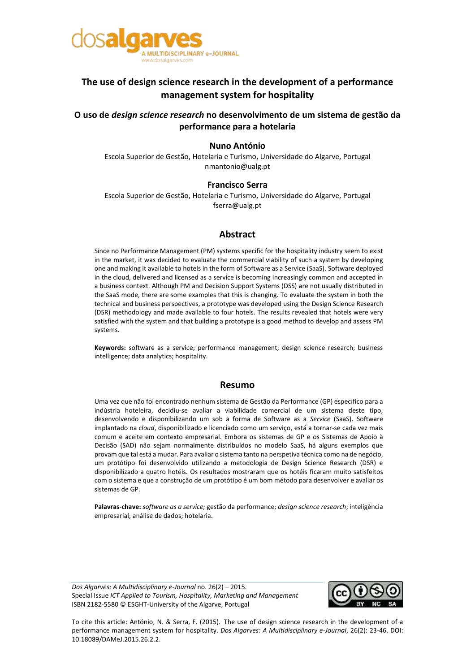

# **The use of design science research in the development of a performance management system for hospitality**

## **O uso de** *design science research* **no desenvolvimento de um sistema de gestão da performance para a hotelaria**

#### **Nuno António**

Escola Superior de Gestão, Hotelaria e Turismo, Universidade do Algarve, Portugal nmantonio@ualg.pt

#### **Francisco Serra**

Escola Superior de Gestão, Hotelaria e Turismo, Universidade do Algarve, Portugal fserra@ualg.pt

### **Abstract**

Since no Performance Management (PM) systems specific for the hospitality industry seem to exist in the market, it was decided to evaluate the commercial viability of such a system by developing one and making it available to hotels in the form of Software as a Service (SaaS). Software deployed in the cloud, delivered and licensed as a service is becoming increasingly common and accepted in a business context. Although PM and Decision Support Systems (DSS) are not usually distributed in the SaaS mode, there are some examples that this is changing. To evaluate the system in both the technical and business perspectives, a prototype was developed using the Design Science Research (DSR) methodology and made available to four hotels. The results revealed that hotels were very satisfied with the system and that building a prototype is a good method to develop and assess PM systems.

**Keywords:** software as a service; performance management; design science research; business intelligence; data analytics; hospitality.

#### **Resumo**

Uma vez que não foi encontrado nenhum sistema de Gestão da Performance (GP) específico para a indústria hoteleira, decidiu-se avaliar a viabilidade comercial de um sistema deste tipo, desenvolvendo e disponibilizando um sob a forma de Software as a *Service* (SaaS). Software implantado na *cloud*, disponibilizado e licenciado como um serviço, está a tornar-se cada vez mais comum e aceite em contexto empresarial. Embora os sistemas de GP e os Sistemas de Apoio à Decisão (SAD) não sejam normalmente distribuídos no modelo SaaS, há alguns exemplos que provam que tal está a mudar. Para avaliar o sistema tanto na perspetiva técnica como na de negócio, um protótipo foi desenvolvido utilizando a metodologia de Design Science Research (DSR) e disponibilizado a quatro hotéis. Os resultados mostraram que os hotéis ficaram muito satisfeitos com o sistema e que a construção de um protótipo é um bom método para desenvolver e avaliar os sistemas de GP.

**Palavras-chave:** *software as a service;* gestão da performance; *design science research*; inteligência empresarial; análise de dados; hotelaria.

*Dos Algarves: A Multidisciplinary e-Journal* no. 26(2) – 2015. Special Issue *ICT Applied to Tourism, Hospitality, Marketing and Management* ISBN 2182-5580 © ESGHT-University of the Algarve, Portugal



To cite this article: António, N. & Serra, F. (2015). The use of design science research in the development of a performance management system for hospitality. *Dos Algarves: A Multidisciplinary e-Journal*, 26(2): 23-46. DOI: 10.18089/DAMeJ.2015.26.2.2.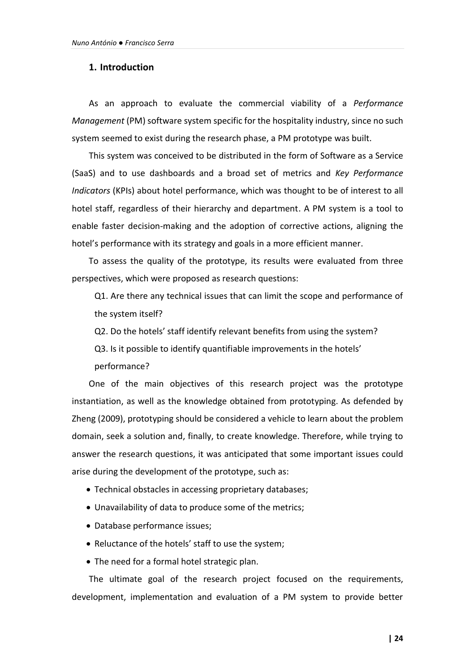#### **1. Introduction**

As an approach to evaluate the commercial viability of a *Performance Management* (PM) software system specific for the hospitality industry, since no such system seemed to exist during the research phase, a PM prototype was built.

This system was conceived to be distributed in the form of Software as a Service (SaaS) and to use dashboards and a broad set of metrics and *Key Performance Indicators* (KPIs) about hotel performance, which was thought to be of interest to all hotel staff, regardless of their hierarchy and department. A PM system is a tool to enable faster decision-making and the adoption of corrective actions, aligning the hotel's performance with its strategy and goals in a more efficient manner.

To assess the quality of the prototype, its results were evaluated from three perspectives, which were proposed as research questions:

Q1. Are there any technical issues that can limit the scope and performance of the system itself?

Q2. Do the hotels' staff identify relevant benefits from using the system?

Q3. Is it possible to identify quantifiable improvements in the hotels'

performance?

One of the main objectives of this research project was the prototype instantiation, as well as the knowledge obtained from prototyping. As defended by Zheng (2009), prototyping should be considered a vehicle to learn about the problem domain, seek a solution and, finally, to create knowledge. Therefore, while trying to answer the research questions, it was anticipated that some important issues could arise during the development of the prototype, such as:

- Technical obstacles in accessing proprietary databases;
- Unavailability of data to produce some of the metrics;
- Database performance issues;
- Reluctance of the hotels' staff to use the system;
- The need for a formal hotel strategic plan.

The ultimate goal of the research project focused on the requirements, development, implementation and evaluation of a PM system to provide better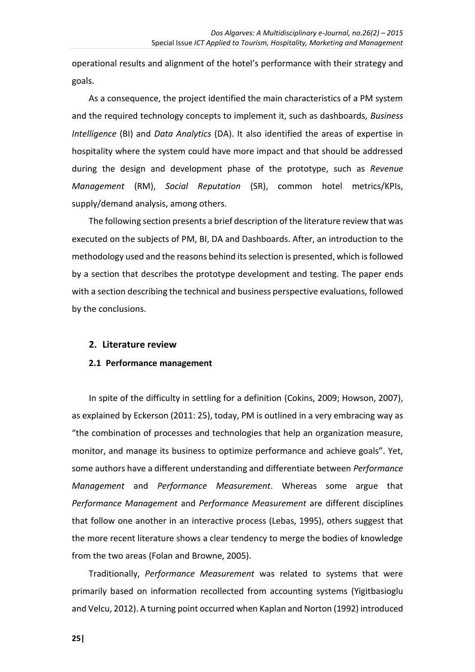operational results and alignment of the hotel's performance with their strategy and goals.

As a consequence, the project identified the main characteristics of a PM system and the required technology concepts to implement it, such as dashboards, *Business Intelligence* (BI) and *Data Analytics* (DA). It also identified the areas of expertise in hospitality where the system could have more impact and that should be addressed during the design and development phase of the prototype, such as *Revenue Management* (RM), *Social Reputation* (SR), common hotel metrics/KPIs, supply/demand analysis, among others.

The following section presents a brief description of the literature review that was executed on the subjects of PM, BI, DA and Dashboards. After, an introduction to the methodology used and the reasons behind its selection is presented, which is followed by a section that describes the prototype development and testing. The paper ends with a section describing the technical and business perspective evaluations, followed by the conclusions.

#### **2. Literature review**

### **2.1 Performance management**

In spite of the difficulty in settling for a definition (Cokins, 2009; Howson, 2007), as explained by Eckerson (2011: 25), today, PM is outlined in a very embracing way as "the combination of processes and technologies that help an organization measure, monitor, and manage its business to optimize performance and achieve goals". Yet, some authors have a different understanding and differentiate between *Performance Management* and *Performance Measurement*. Whereas some argue that *Performance Management* and *Performance Measurement* are different disciplines that follow one another in an interactive process (Lebas, 1995), others suggest that the more recent literature shows a clear tendency to merge the bodies of knowledge from the two areas (Folan and Browne, 2005).

Traditionally, *Performance Measurement* was related to systems that were primarily based on information recollected from accounting systems (Yigitbasioglu and Velcu, 2012). A turning point occurred when Kaplan and Norton (1992) introduced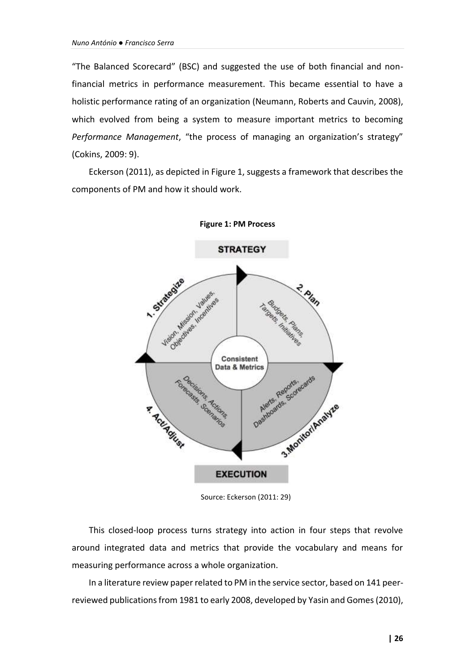"The Balanced Scorecard" (BSC) and suggested the use of both financial and nonfinancial metrics in performance measurement. This became essential to have a holistic performance rating of an organization (Neumann, Roberts and Cauvin, 2008), which evolved from being a system to measure important metrics to becoming *Performance Management*, "the process of managing an organization's strategy" (Cokins, 2009: 9).

Eckerson (2011), as depicted in Figure 1, suggests a framework that describes the components of PM and how it should work.



**Figure 1: PM Process**

Source: Eckerson (2011: 29)

This closed-loop process turns strategy into action in four steps that revolve around integrated data and metrics that provide the vocabulary and means for measuring performance across a whole organization.

In a literature review paper related to PM in the service sector, based on 141 peerreviewed publications from 1981 to early 2008, developed by Yasin and Gomes (2010),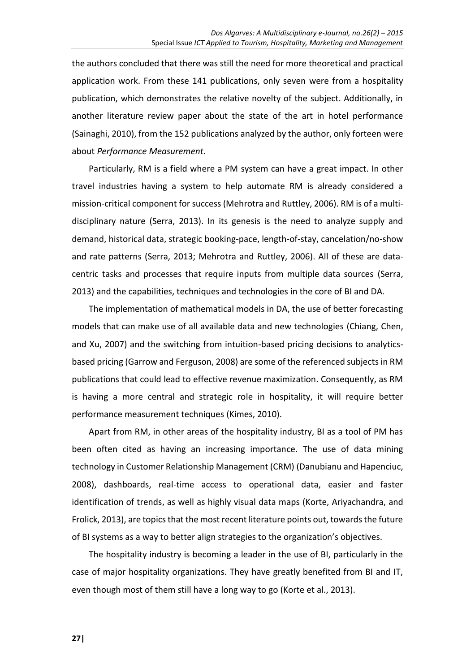the authors concluded that there was still the need for more theoretical and practical application work. From these 141 publications, only seven were from a hospitality publication, which demonstrates the relative novelty of the subject. Additionally, in another literature review paper about the state of the art in hotel performance (Sainaghi, 2010), from the 152 publications analyzed by the author, only forteen were about *Performance Measurement*.

Particularly, RM is a field where a PM system can have a great impact. In other travel industries having a system to help automate RM is already considered a mission-critical component for success (Mehrotra and Ruttley, 2006). RM is of a multidisciplinary nature (Serra, 2013). In its genesis is the need to analyze supply and demand, historical data, strategic booking-pace, length-of-stay, cancelation/no-show and rate patterns (Serra, 2013; Mehrotra and Ruttley, 2006). All of these are datacentric tasks and processes that require inputs from multiple data sources (Serra, 2013) and the capabilities, techniques and technologies in the core of BI and DA.

The implementation of mathematical models in DA, the use of better forecasting models that can make use of all available data and new technologies (Chiang, Chen, and Xu, 2007) and the switching from intuition-based pricing decisions to analyticsbased pricing (Garrow and Ferguson, 2008) are some of the referenced subjects in RM publications that could lead to effective revenue maximization. Consequently, as RM is having a more central and strategic role in hospitality, it will require better performance measurement techniques (Kimes, 2010).

Apart from RM, in other areas of the hospitality industry, BI as a tool of PM has been often cited as having an increasing importance. The use of data mining technology in Customer Relationship Management (CRM) (Danubianu and Hapenciuc, 2008), dashboards, real-time access to operational data, easier and faster identification of trends, as well as highly visual data maps (Korte, Ariyachandra, and Frolick, 2013), are topics that the most recent literature points out, towards the future of BI systems as a way to better align strategies to the organization's objectives.

The hospitality industry is becoming a leader in the use of BI, particularly in the case of major hospitality organizations. They have greatly benefited from BI and IT, even though most of them still have a long way to go (Korte et al., 2013).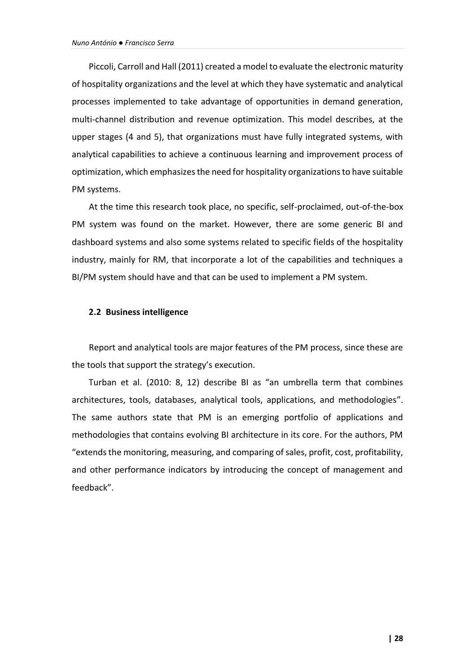Piccoli, Carroll and Hall (2011) created a model to evaluate the electronic maturity of hospitality organizations and the level at which they have systematic and analytical processes implemented to take advantage of opportunities in demand generation, multi-channel distribution and revenue optimization. This model describes, at the upper stages (4 and 5), that organizations must have fully integrated systems, with analytical capabilities to achieve a continuous learning and improvement process of optimization, which emphasizes the need for hospitality organizations to have suitable PM systems.

At the time this research took place, no specific, self-proclaimed, out-of-the-box PM system was found on the market. However, there are some generic BI and dashboard systems and also some systems related to specific fields of the hospitality industry, mainly for RM, that incorporate a lot of the capabilities and techniques a BI/PM system should have and that can be used to implement a PM system.

#### **2.2 Business intelligence**

Report and analytical tools are major features of the PM process, since these are the tools that support the strategy's execution.

Turban et al. (2010: 8, 12) describe BI as "an umbrella term that combines architectures, tools, databases, analytical tools, applications, and methodologies". The same authors state that PM is an emerging portfolio of applications and methodologies that contains evolving BI architecture in its core. For the authors, PM "extends the monitoring, measuring, and comparing of sales, profit, cost, profitability, and other performance indicators by introducing the concept of management and feedback".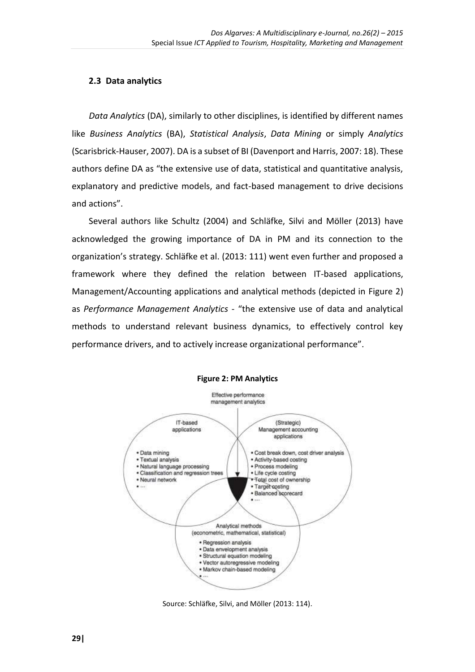## **2.3 Data analytics**

*Data Analytics* (DA), similarly to other disciplines, is identified by different names like *Business Analytics* (BA), *Statistical Analysis*, *Data Mining* or simply *Analytics* (Scarisbrick-Hauser, 2007). DA is a subset of BI (Davenport and Harris, 2007: 18). These authors define DA as "the extensive use of data, statistical and quantitative analysis, explanatory and predictive models, and fact-based management to drive decisions and actions".

Several authors like Schultz (2004) and Schläfke, Silvi and Möller (2013) have acknowledged the growing importance of DA in PM and its connection to the organization's strategy. Schläfke et al. (2013: 111) went even further and proposed a framework where they defined the relation between IT-based applications, Management/Accounting applications and analytical methods (depicted in Figure 2) as *Performance Management Analytics* - "the extensive use of data and analytical methods to understand relevant business dynamics, to effectively control key performance drivers, and to actively increase organizational performance".



**Figure 2: PM Analytics**

Source: Schläfke, Silvi, and Möller (2013: 114).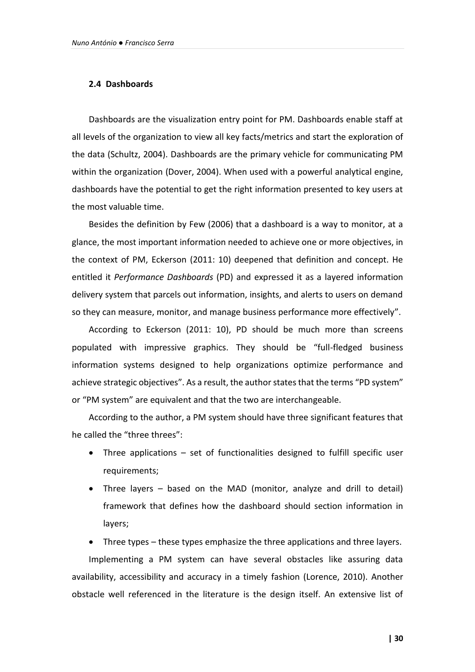### **2.4 Dashboards**

Dashboards are the visualization entry point for PM. Dashboards enable staff at all levels of the organization to view all key facts/metrics and start the exploration of the data (Schultz, 2004). Dashboards are the primary vehicle for communicating PM within the organization (Dover, 2004). When used with a powerful analytical engine, dashboards have the potential to get the right information presented to key users at the most valuable time.

Besides the definition by Few (2006) that a dashboard is a way to monitor, at a glance, the most important information needed to achieve one or more objectives, in the context of PM, Eckerson (2011: 10) deepened that definition and concept. He entitled it *Performance Dashboards* (PD) and expressed it as a layered information delivery system that parcels out information, insights, and alerts to users on demand so they can measure, monitor, and manage business performance more effectively".

According to Eckerson (2011: 10), PD should be much more than screens populated with impressive graphics. They should be "full-fledged business information systems designed to help organizations optimize performance and achieve strategic objectives". As a result, the author states that the terms "PD system" or "PM system" are equivalent and that the two are interchangeable.

According to the author, a PM system should have three significant features that he called the "three threes":

- Three applications set of functionalities designed to fulfill specific user requirements;
- Three layers based on the MAD (monitor, analyze and drill to detail) framework that defines how the dashboard should section information in layers;

Three types – these types emphasize the three applications and three layers.

Implementing a PM system can have several obstacles like assuring data availability, accessibility and accuracy in a timely fashion (Lorence, 2010). Another obstacle well referenced in the literature is the design itself. An extensive list of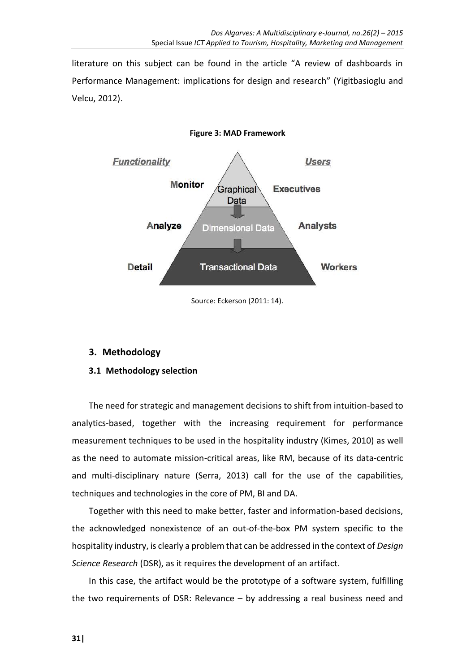literature on this subject can be found in the article "A review of dashboards in Performance Management: implications for design and research" (Yigitbasioglu and Velcu, 2012).



Source: Eckerson (2011: 14).

## **3. Methodology**

## **3.1 Methodology selection**

The need for strategic and management decisions to shift from intuition-based to analytics-based, together with the increasing requirement for performance measurement techniques to be used in the hospitality industry (Kimes, 2010) as well as the need to automate mission-critical areas, like RM, because of its data-centric and multi-disciplinary nature (Serra, 2013) call for the use of the capabilities, techniques and technologies in the core of PM, BI and DA.

Together with this need to make better, faster and information-based decisions, the acknowledged nonexistence of an out-of-the-box PM system specific to the hospitality industry, is clearly a problem that can be addressed in the context of *Design Science Research* (DSR), as it requires the development of an artifact.

In this case, the artifact would be the prototype of a software system, fulfilling the two requirements of DSR: Relevance – by addressing a real business need and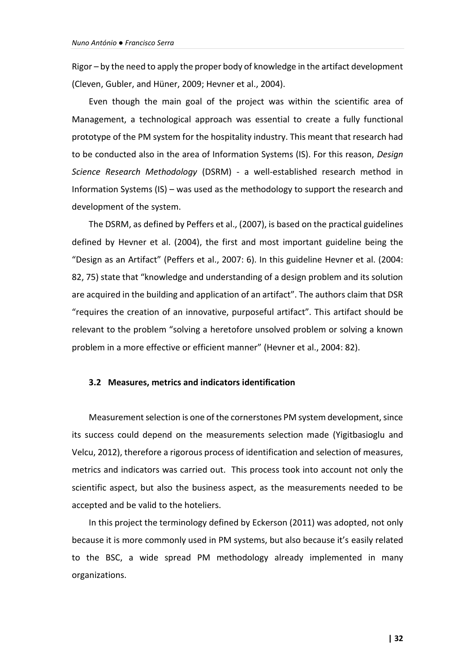Rigor – by the need to apply the proper body of knowledge in the artifact development (Cleven, Gubler, and Hüner, 2009; Hevner et al., 2004).

Even though the main goal of the project was within the scientific area of Management, a technological approach was essential to create a fully functional prototype of the PM system for the hospitality industry. This meant that research had to be conducted also in the area of Information Systems (IS). For this reason, *Design Science Research Methodology* (DSRM) - a well-established research method in Information Systems (IS) – was used as the methodology to support the research and development of the system.

The DSRM, as defined by Peffers et al., (2007), is based on the practical guidelines defined by Hevner et al. (2004), the first and most important guideline being the "Design as an Artifact" (Peffers et al., 2007: 6). In this guideline Hevner et al. (2004: 82, 75) state that "knowledge and understanding of a design problem and its solution are acquired in the building and application of an artifact". The authors claim that DSR "requires the creation of an innovative, purposeful artifact". This artifact should be relevant to the problem "solving a heretofore unsolved problem or solving a known problem in a more effective or efficient manner" (Hevner et al., 2004: 82).

#### **3.2 Measures, metrics and indicators identification**

Measurement selection is one of the cornerstones PM system development, since its success could depend on the measurements selection made (Yigitbasioglu and Velcu, 2012), therefore a rigorous process of identification and selection of measures, metrics and indicators was carried out. This process took into account not only the scientific aspect, but also the business aspect, as the measurements needed to be accepted and be valid to the hoteliers.

In this project the terminology defined by Eckerson (2011) was adopted, not only because it is more commonly used in PM systems, but also because it's easily related to the BSC, a wide spread PM methodology already implemented in many organizations.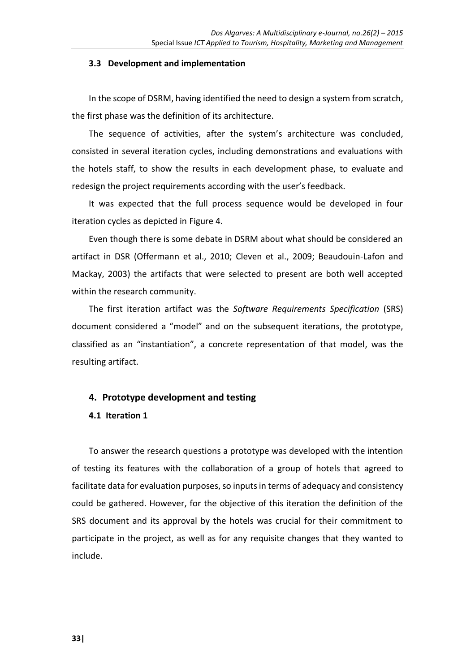### **3.3 Development and implementation**

In the scope of DSRM, having identified the need to design a system from scratch, the first phase was the definition of its architecture.

The sequence of activities, after the system's architecture was concluded, consisted in several iteration cycles, including demonstrations and evaluations with the hotels staff, to show the results in each development phase, to evaluate and redesign the project requirements according with the user's feedback.

It was expected that the full process sequence would be developed in four iteration cycles as depicted in Figure 4.

Even though there is some debate in DSRM about what should be considered an artifact in DSR (Offermann et al., 2010; Cleven et al., 2009; Beaudouin-Lafon and Mackay, 2003) the artifacts that were selected to present are both well accepted within the research community.

The first iteration artifact was the *Software Requirements Specification* (SRS) document considered a "model" and on the subsequent iterations, the prototype, classified as an "instantiation", a concrete representation of that model, was the resulting artifact.

## **4. Prototype development and testing**

## **4.1 Iteration 1**

To answer the research questions a prototype was developed with the intention of testing its features with the collaboration of a group of hotels that agreed to facilitate data for evaluation purposes, so inputs in terms of adequacy and consistency could be gathered. However, for the objective of this iteration the definition of the SRS document and its approval by the hotels was crucial for their commitment to participate in the project, as well as for any requisite changes that they wanted to include.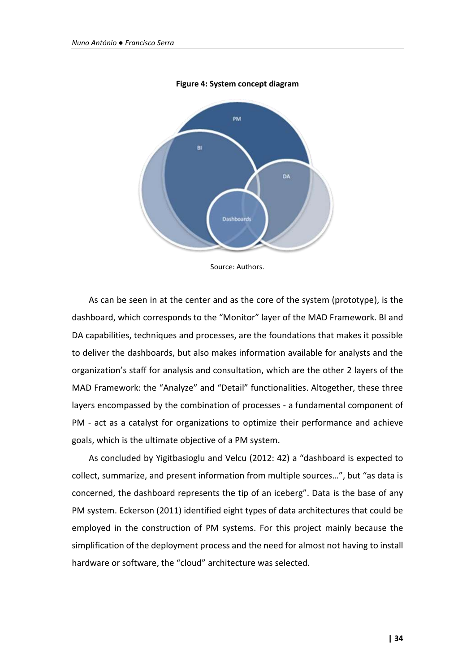

**Figure 4: System concept diagram**

Source: Authors.

As can be seen in at the center and as the core of the system (prototype), is the dashboard, which corresponds to the "Monitor" layer of the MAD Framework. BI and DA capabilities, techniques and processes, are the foundations that makes it possible to deliver the dashboards, but also makes information available for analysts and the organization's staff for analysis and consultation, which are the other 2 layers of the MAD Framework: the "Analyze" and "Detail" functionalities. Altogether, these three layers encompassed by the combination of processes - a fundamental component of PM - act as a catalyst for organizations to optimize their performance and achieve goals, which is the ultimate objective of a PM system.

As concluded by Yigitbasioglu and Velcu (2012: 42) a "dashboard is expected to collect, summarize, and present information from multiple sources…", but "as data is concerned, the dashboard represents the tip of an iceberg". Data is the base of any PM system. Eckerson (2011) identified eight types of data architectures that could be employed in the construction of PM systems. For this project mainly because the simplification of the deployment process and the need for almost not having to install hardware or software, the "cloud" architecture was selected.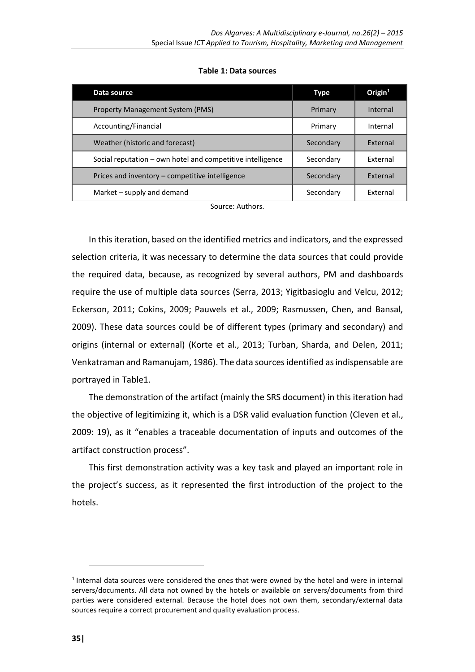| Data source                                                | Type      | Origin $1$      |
|------------------------------------------------------------|-----------|-----------------|
| Property Management System (PMS)                           | Primary   | Internal        |
| Accounting/Financial                                       | Primary   | Internal        |
| Weather (historic and forecast)                            | Secondary | <b>Fxternal</b> |
| Social reputation - own hotel and competitive intelligence | Secondary | <b>Fxternal</b> |
| Prices and inventory – competitive intelligence            | Secondary | <b>External</b> |
| Market $-$ supply and demand                               | Secondary | <b>Fxternal</b> |

#### **Table 1: Data sources**

Source: Authors.

In this iteration, based on the identified metrics and indicators, and the expressed selection criteria, it was necessary to determine the data sources that could provide the required data, because, as recognized by several authors, PM and dashboards require the use of multiple data sources (Serra, 2013; Yigitbasioglu and Velcu, 2012; Eckerson, 2011; Cokins, 2009; Pauwels et al., 2009; Rasmussen, Chen, and Bansal, 2009). These data sources could be of different types (primary and secondary) and origins (internal or external) (Korte et al., 2013; Turban, Sharda, and Delen, 2011; Venkatraman and Ramanujam, 1986). The data sources identified as indispensable are portrayed in Table1.

The demonstration of the artifact (mainly the SRS document) in this iteration had the objective of legitimizing it, which is a DSR valid evaluation function (Cleven et al., 2009: 19), as it "enables a traceable documentation of inputs and outcomes of the artifact construction process".

This first demonstration activity was a key task and played an important role in the project's success, as it represented the first introduction of the project to the hotels.

l

<sup>&</sup>lt;sup>1</sup> Internal data sources were considered the ones that were owned by the hotel and were in internal servers/documents. All data not owned by the hotels or available on servers/documents from third parties were considered external. Because the hotel does not own them, secondary/external data sources require a correct procurement and quality evaluation process.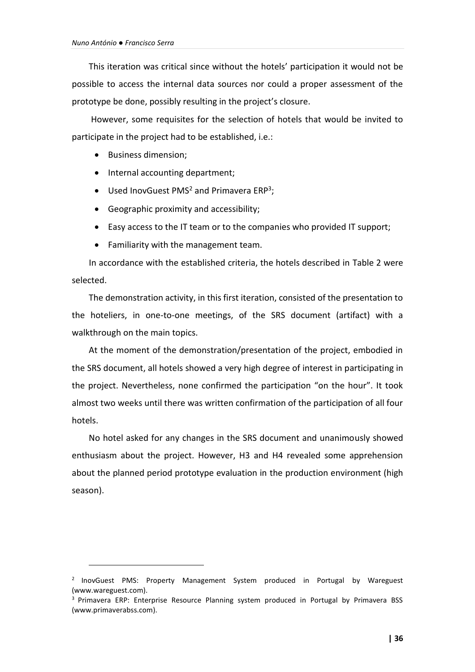This iteration was critical since without the hotels' participation it would not be possible to access the internal data sources nor could a proper assessment of the prototype be done, possibly resulting in the project's closure.

However, some requisites for the selection of hotels that would be invited to participate in the project had to be established, i.e.:

Business dimension;

l

- Internal accounting department;
- Used InovGuest PMS<sup>2</sup> and Primavera ERP<sup>3</sup>;
- Geographic proximity and accessibility;
- Easy access to the IT team or to the companies who provided IT support;
- Familiarity with the management team.

In accordance with the established criteria, the hotels described in Table 2 were selected.

The demonstration activity, in this first iteration, consisted of the presentation to the hoteliers, in one-to-one meetings, of the SRS document (artifact) with a walkthrough on the main topics.

At the moment of the demonstration/presentation of the project, embodied in the SRS document, all hotels showed a very high degree of interest in participating in the project. Nevertheless, none confirmed the participation "on the hour". It took almost two weeks until there was written confirmation of the participation of all four hotels.

No hotel asked for any changes in the SRS document and unanimously showed enthusiasm about the project. However, H3 and H4 revealed some apprehension about the planned period prototype evaluation in the production environment (high season).

<sup>&</sup>lt;sup>2</sup> InovGuest PMS: Property Management System produced in Portugal by Wareguest (www.wareguest.com).

<sup>&</sup>lt;sup>3</sup> Primavera ERP: Enterprise Resource Planning system produced in Portugal by Primavera BSS (www.primaverabss.com).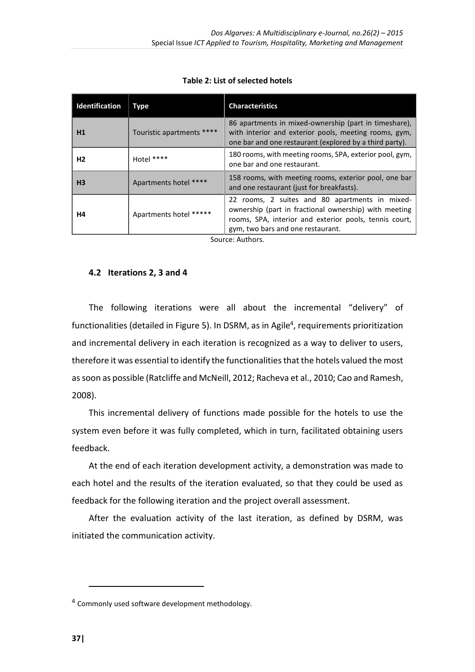### **Table 2: List of selected hotels**

| <b>Identification</b> | <b>Type</b>            | <b>Characteristics</b>                                                                                                                                                                                 |  |
|-----------------------|------------------------|--------------------------------------------------------------------------------------------------------------------------------------------------------------------------------------------------------|--|
| H1                    | Touristic apartments   | 86 apartments in mixed-ownership (part in timeshare),<br>with interior and exterior pools, meeting rooms, gym,<br>one bar and one restaurant (explored by a third party).                              |  |
| H <sub>2</sub>        | Hotel ****             | 180 rooms, with meeting rooms, SPA, exterior pool, gym,<br>one bar and one restaurant.                                                                                                                 |  |
| H <sub>3</sub>        | Apartments hotel ****  | 158 rooms, with meeting rooms, exterior pool, one bar<br>and one restaurant (just for breakfasts).                                                                                                     |  |
| Η4                    | Apartments hotel ***** | 22 rooms, 2 suites and 80 apartments in mixed-<br>ownership (part in fractional ownership) with meeting<br>rooms, SPA, interior and exterior pools, tennis court,<br>gym, two bars and one restaurant. |  |

Source: Authors.

### **4.2 Iterations 2, 3 and 4**

The following iterations were all about the incremental "delivery" of functionalities (detailed in Figure 5). In DSRM, as in Agile<sup>4</sup>, requirements prioritization and incremental delivery in each iteration is recognized as a way to deliver to users, therefore it was essential to identify the functionalities that the hotels valued the most as soon as possible (Ratcliffe and McNeill, 2012; Racheva et al., 2010; Cao and Ramesh, 2008).

This incremental delivery of functions made possible for the hotels to use the system even before it was fully completed, which in turn, facilitated obtaining users feedback.

At the end of each iteration development activity, a demonstration was made to each hotel and the results of the iteration evaluated, so that they could be used as feedback for the following iteration and the project overall assessment.

After the evaluation activity of the last iteration, as defined by DSRM, was initiated the communication activity.

 $\overline{a}$ 

<sup>4</sup> Commonly used software development methodology.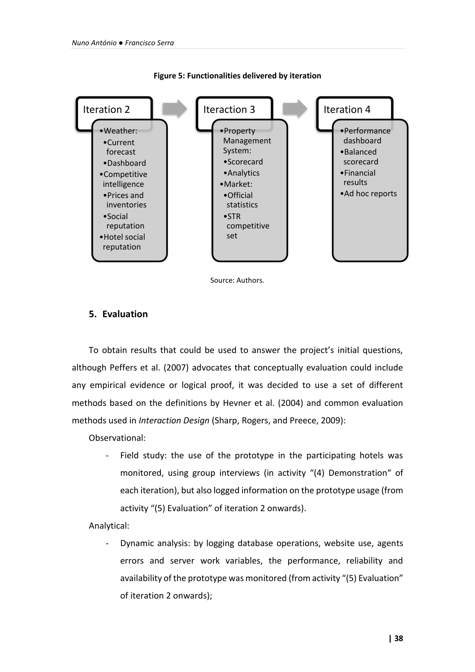

**Figure 5: Functionalities delivered by iteration**

Source: Authors.

### **5. Evaluation**

To obtain results that could be used to answer the project's initial questions, although Peffers et al. (2007) advocates that conceptually evaluation could include any empirical evidence or logical proof, it was decided to use a set of different methods based on the definitions by Hevner et al. (2004) and common evaluation methods used in *Interaction Design* (Sharp, Rogers, and Preece, 2009):

Observational:

Field study: the use of the prototype in the participating hotels was monitored, using group interviews (in activity "(4) Demonstration" of each iteration), but also logged information on the prototype usage (from activity "(5) Evaluation" of iteration 2 onwards).

Analytical:

Dynamic analysis: by logging database operations, website use, agents errors and server work variables, the performance, reliability and availability of the prototype was monitored (from activity "(5) Evaluation" of iteration 2 onwards);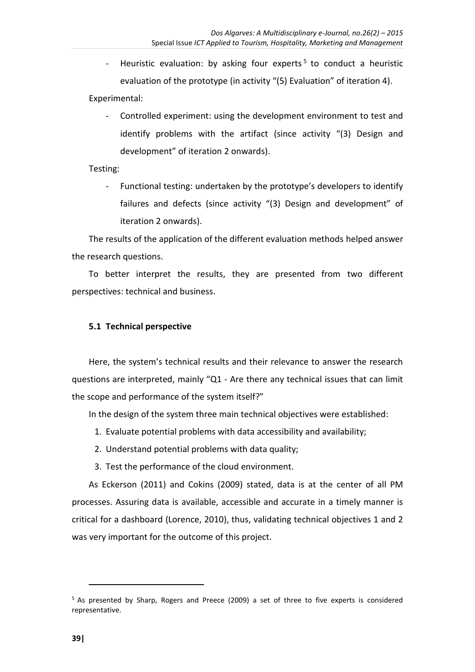- Heuristic evaluation: by asking four experts<sup>5</sup> to conduct a heuristic evaluation of the prototype (in activity "(5) Evaluation" of iteration 4).

Experimental:

Controlled experiment: using the development environment to test and identify problems with the artifact (since activity "(3) Design and development" of iteration 2 onwards).

Testing:

Functional testing: undertaken by the prototype's developers to identify failures and defects (since activity "(3) Design and development" of iteration 2 onwards).

The results of the application of the different evaluation methods helped answer the research questions.

To better interpret the results, they are presented from two different perspectives: technical and business.

## **5.1 Technical perspective**

Here, the system's technical results and their relevance to answer the research questions are interpreted, mainly "Q1 - Are there any technical issues that can limit the scope and performance of the system itself?"

In the design of the system three main technical objectives were established:

- 1. Evaluate potential problems with data accessibility and availability;
- 2. Understand potential problems with data quality;
- 3. Test the performance of the cloud environment.

As Eckerson (2011) and Cokins (2009) stated, data is at the center of all PM processes. Assuring data is available, accessible and accurate in a timely manner is critical for a dashboard (Lorence, 2010), thus, validating technical objectives 1 and 2 was very important for the outcome of this project.

l

<sup>5</sup> As presented by Sharp, Rogers and Preece (2009) a set of three to five experts is considered representative.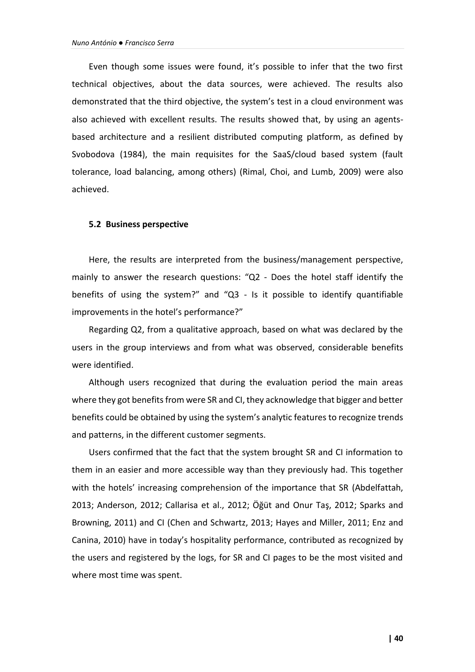Even though some issues were found, it's possible to infer that the two first technical objectives, about the data sources, were achieved. The results also demonstrated that the third objective, the system's test in a cloud environment was also achieved with excellent results. The results showed that, by using an agentsbased architecture and a resilient distributed computing platform, as defined by Svobodova (1984), the main requisites for the SaaS/cloud based system (fault tolerance, load balancing, among others) (Rimal, Choi, and Lumb, 2009) were also achieved.

#### **5.2 Business perspective**

Here, the results are interpreted from the business/management perspective, mainly to answer the research questions: "Q2 - Does the hotel staff identify the benefits of using the system?" and "Q3 - Is it possible to identify quantifiable improvements in the hotel's performance?"

Regarding Q2, from a qualitative approach, based on what was declared by the users in the group interviews and from what was observed, considerable benefits were identified.

Although users recognized that during the evaluation period the main areas where they got benefits from were SR and CI, they acknowledge that bigger and better benefits could be obtained by using the system's analytic features to recognize trends and patterns, in the different customer segments.

Users confirmed that the fact that the system brought SR and CI information to them in an easier and more accessible way than they previously had. This together with the hotels' increasing comprehension of the importance that SR (Abdelfattah, 2013; Anderson, 2012; Callarisa et al., 2012; Öğüt and Onur Taş, 2012; Sparks and Browning, 2011) and CI (Chen and Schwartz, 2013; Hayes and Miller, 2011; Enz and Canina, 2010) have in today's hospitality performance, contributed as recognized by the users and registered by the logs, for SR and CI pages to be the most visited and where most time was spent.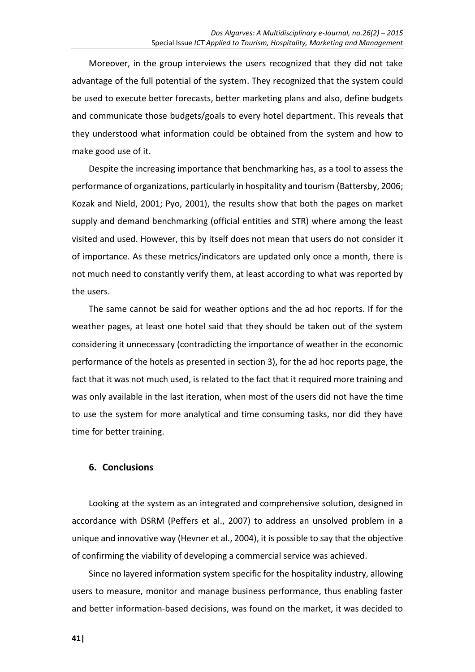Moreover, in the group interviews the users recognized that they did not take advantage of the full potential of the system. They recognized that the system could be used to execute better forecasts, better marketing plans and also, define budgets and communicate those budgets/goals to every hotel department. This reveals that they understood what information could be obtained from the system and how to make good use of it.

Despite the increasing importance that benchmarking has, as a tool to assess the performance of organizations, particularly in hospitality and tourism (Battersby, 2006; Kozak and Nield, 2001; Pyo, 2001), the results show that both the pages on market supply and demand benchmarking (official entities and STR) where among the least visited and used. However, this by itself does not mean that users do not consider it of importance. As these metrics/indicators are updated only once a month, there is not much need to constantly verify them, at least according to what was reported by the users.

The same cannot be said for weather options and the ad hoc reports. If for the weather pages, at least one hotel said that they should be taken out of the system considering it unnecessary (contradicting the importance of weather in the economic performance of the hotels as presented in section 3), for the ad hoc reports page, the fact that it was not much used, is related to the fact that it required more training and was only available in the last iteration, when most of the users did not have the time to use the system for more analytical and time consuming tasks, nor did they have time for better training.

### **6. Conclusions**

Looking at the system as an integrated and comprehensive solution, designed in accordance with DSRM (Peffers et al., 2007) to address an unsolved problem in a unique and innovative way (Hevner et al., 2004), it is possible to say that the objective of confirming the viability of developing a commercial service was achieved.

Since no layered information system specific for the hospitality industry, allowing users to measure, monitor and manage business performance, thus enabling faster and better information-based decisions, was found on the market, it was decided to

**41|**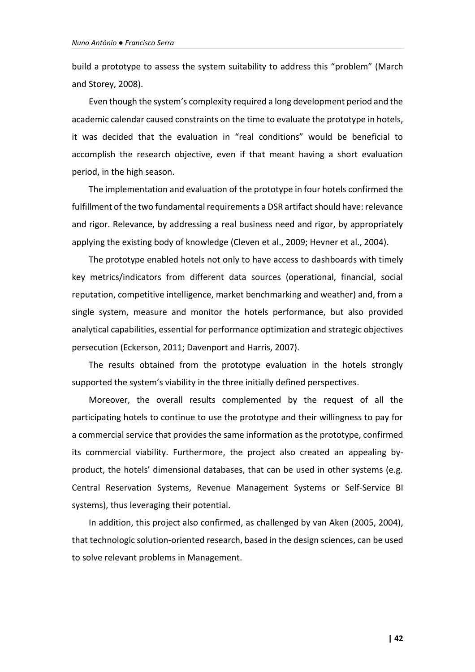build a prototype to assess the system suitability to address this "problem" (March and Storey, 2008).

Even though the system's complexity required a long development period and the academic calendar caused constraints on the time to evaluate the prototype in hotels, it was decided that the evaluation in "real conditions" would be beneficial to accomplish the research objective, even if that meant having a short evaluation period, in the high season.

The implementation and evaluation of the prototype in four hotels confirmed the fulfillment of the two fundamental requirements a DSR artifact should have: relevance and rigor. Relevance, by addressing a real business need and rigor, by appropriately applying the existing body of knowledge (Cleven et al., 2009; Hevner et al., 2004).

The prototype enabled hotels not only to have access to dashboards with timely key metrics/indicators from different data sources (operational, financial, social reputation, competitive intelligence, market benchmarking and weather) and, from a single system, measure and monitor the hotels performance, but also provided analytical capabilities, essential for performance optimization and strategic objectives persecution (Eckerson, 2011; Davenport and Harris, 2007).

The results obtained from the prototype evaluation in the hotels strongly supported the system's viability in the three initially defined perspectives.

Moreover, the overall results complemented by the request of all the participating hotels to continue to use the prototype and their willingness to pay for a commercial service that provides the same information as the prototype, confirmed its commercial viability. Furthermore, the project also created an appealing byproduct, the hotels' dimensional databases, that can be used in other systems (e.g. Central Reservation Systems, Revenue Management Systems or Self-Service BI systems), thus leveraging their potential.

In addition, this project also confirmed, as challenged by van Aken (2005, 2004), that technologic solution-oriented research, based in the design sciences, can be used to solve relevant problems in Management.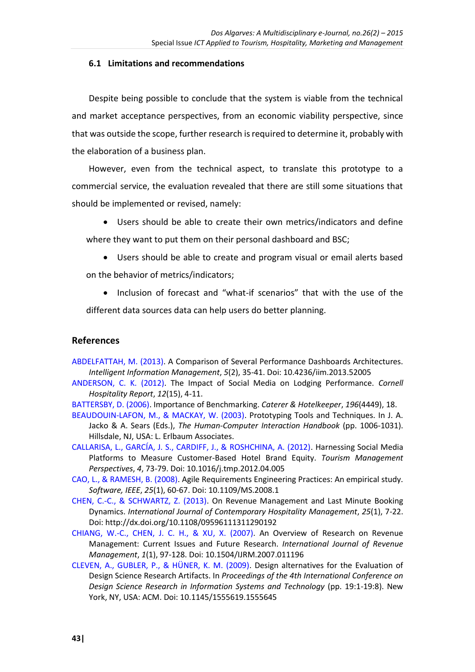## **6.1 Limitations and recommendations**

Despite being possible to conclude that the system is viable from the technical and market acceptance perspectives, from an economic viability perspective, since that was outside the scope, further research is required to determine it, probably with the elaboration of a business plan.

However, even from the technical aspect, to translate this prototype to a commercial service, the evaluation revealed that there are still some situations that should be implemented or revised, namely:

Users should be able to create their own metrics/indicators and define

where they want to put them on their personal dashboard and BSC;

- Users should be able to create and program visual or email alerts based on the behavior of metrics/indicators;
	- Inclusion of forecast and "what-if scenarios" that with the use of the

different data sources data can help users do better planning.

## **References**

- [ABDELFATTAH, M. \(2013\).](http://file.scirp.org/Html/1-8701162_29589.htm) A Comparison of Several Performance Dashboards Architectures. *Intelligent Information Management*, *5*(2), 35-41. Doi: 10.4236/iim.2013.52005
- [ANDERSON, C. K. \(2012\).](http://scholarship.sha.cornell.edu/chrpubs/5/?utm_source=scholarship.sha.cornell.edu%2Fchrpubs%2F5&utm_medium=PDF&utm_campaign=PDFCoverPages) The Impact of Social Media on Lodging Performance. *Cornell Hospitality Report*, *12*(15), 4-11.

[BATTERSBY, D. \(2006\).](http://connection.ebscohost.com/c/editorials/23297005/importance-benchmarking) Importance of Benchmarking. *Caterer & Hotelkeeper*, *196*(4449), 18.

- [BEAUDOUIN-LAFON, M., & MACKAY, W. \(2003\).](http://dl.acm.org/citation.cfm?id=772136) Prototyping Tools and Techniques. In J. A. Jacko & A. Sears (Eds.), *The Human-Computer Interaction Handbook* (pp. 1006-1031). Hillsdale, NJ, USA: L. Erlbaum Associates.
- [CALLARISA, L., GARCÍA, J. S., CARDIFF, J., & ROSHCHINA, A. \(2012\).](http://www.sciencedirect.com/science/article/pii/S2211973612000360) Harnessing Social Media Platforms to Measure Customer-Based Hotel Brand Equity. *Tourism Management Perspectives*, *4*, 73-79. Doi: 10.1016/j.tmp.2012.04.005
- [CAO, L., & RAMESH, B. \(2008\).](http://ieeexplore.ieee.org/xpls/abs_all.jsp?arnumber=4420071&tag=1) Agile Requirements Engineering Practices: An empirical study. *Software, IEEE*, *25*(1), 60-67. Doi: 10.1109/MS.2008.1
- [CHEN, C.-C., & SCHWARTZ, Z. \(2013\).](http://www.emeraldinsight.com/doi/abs/10.1108/09596111311290192) On Revenue Management and Last Minute Booking Dynamics. *International Journal of Contemporary Hospitality Management*, *25*(1), 7-22. Doi: http://dx.doi.org/10.1108/09596111311290192
- [CHIANG, W.-C., CHEN, J. C. H., & XU, X. \(2007\).](http://www.inderscience.com/info/inarticle.php?artid=11196) An Overview of Research on Revenue Management: Current Issues and Future Research. *International Journal of Revenue Management*, *1*(1), 97-128. Doi: 10.1504/IJRM.2007.011196
- [CLEVEN, A., GUBLER, P., & HÜNER, K. M. \(2009\).](http://dl.acm.org/citation.cfm?doid=1555619.1555645) Design alternatives for the Evaluation of Design Science Research Artifacts. In *Proceedings of the 4th International Conference on Design Science Research in Information Systems and Technology* (pp. 19:1-19:8). New York, NY, USA: ACM. Doi: 10.1145/1555619.1555645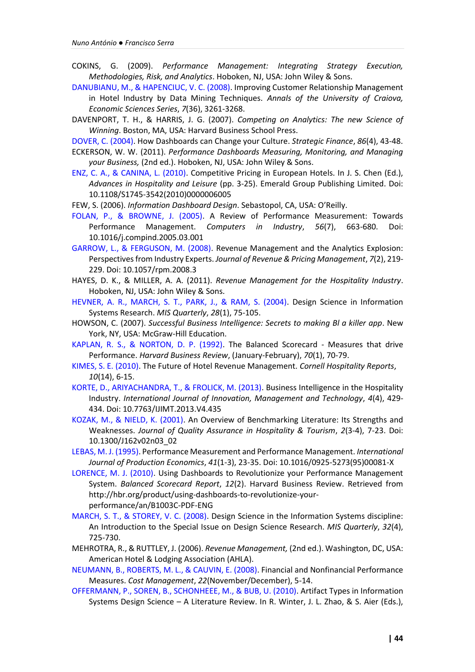- COKINS, G. (2009). *Performance Management: Integrating Strategy Execution, Methodologies, Risk, and Analytics*. Hoboken, NJ, USA: John Wiley & Sons.
- [DANUBIANU, M., & HAPENCIUC, V. C. \(2008\).](http://feaa.ucv.ro/annals/v7_2008/0036v7-015.pdf) Improving Customer Relationship Management in Hotel Industry by Data Mining Techniques. *Annals of the University of Craiova, Economic Sciences Series*, *7*(36), 3261-3268.
- DAVENPORT, T. H., & HARRIS, J. G. (2007). *Competing on Analytics: The new Science of Winning*. Boston, MA, USA: Harvard Business School Press.

[DOVER, C. \(2004\).](http://search.proquest.com/openview/db2b88323ad5ecb8af1159e6c34d279f/1?pq-origsite=gscholar) How Dashboards can Change your Culture. *Strategic Finance*, *86*(4), 43-48.

- ECKERSON, W. W. (2011). *Performance Dashboards Measuring, Monitoring, and Managing your Business,* (2nd ed.). Hoboken, NJ, USA: John Wiley & Sons.
- [ENZ, C. A., & CANINA, L. \(2010\).](http://scholarship.sha.cornell.edu/articles/610/) Competitive Pricing in European Hotels. In J. S. Chen (Ed.), *Advances in Hospitality and Leisure* (pp. 3-25). Emerald Group Publishing Limited. Doi: 10.1108/S1745-3542(2010)0000006005

FEW, S. (2006). *Information Dashboard Design*. Sebastopol, CA, USA: O'Reilly.

- [FOLAN, P., & BROWNE, J. \(2005\).](http://www.sciencedirect.com/science/article/pii/S0166361505000412) A Review of Performance Measurement: Towards Performance Management. *Computers in Industry*, *56*(7), 663-680. Doi: 10.1016/j.compind.2005.03.001
- [GARROW, L., & FERGUSON, M. \(2008\).](http://www.palgrave-journals.com/rpm/journal/v7/n2/abs/rpm20083a.html) Revenue Management and the Analytics Explosion: Perspectives from Industry Experts. *Journal of Revenue & Pricing Management*, *7*(2), 219- 229. Doi: 10.1057/rpm.2008.3
- HAYES, D. K., & MILLER, A. A. (2011). *Revenue Management for the Hospitality Industry*. Hoboken, NJ, USA: John Wiley & Sons.
- [HEVNER, A. R., MARCH, S. T., PARK, J., & RAM, S. \(2004\).](http://wise.vub.ac.be/thesis_info/design_science.pdf) Design Science in Information Systems Research. *MIS Quarterly*, *28*(1), 75-105.
- HOWSON, C. (2007). *Successful Business Intelligence: Secrets to making Bl a killer app*. New York, NY, USA: McGraw-Hill Education.
- [KAPLAN, R. S., & NORTON, D. P. \(1992\).](http://www.hbs.edu/faculty/Pages/item.aspx?num=9161) The Balanced Scorecard Measures that drive Performance. *Harvard Business Review*, (January-February), *70*(1), 70-79.
- [KIMES, S. E. \(2010\).](http://scholarship.sha.cornell.edu/chrpubs/69/) The Future of Hotel Revenue Management. *Cornell Hospitality Reports*, *10*(14), 6-15.
- [KORTE, D., ARIYACHANDRA, T., & FROLICK, M. \(2013\).](http://www.ijimt.org/index.php?m=content&c=index&a=show&catid=46&id=716) Business Intelligence in the Hospitality Industry. *International Journal of Innovation, Management and Technology*, *4*(4), 429- 434. Doi: 10.7763/IJIMT.2013.V4.435
- [KOZAK, M., & NIELD, K. \(2001\).](http://www.tandfonline.com/doi/abs/10.1300/J162v02n03_02) An Overview of Benchmarking Literature: Its Strengths and Weaknesses. *Journal of Quality Assurance in Hospitality & Tourism*, *2*(3-4), 7-23. Doi: 10.1300/J162v02n03\_02
- [LEBAS, M. J. \(1995\).](http://www.sciencedirect.com/science/article/pii/092552739500081X) Performance Measurement and Performance Management. *International Journal of Production Economics*, *41*(1-3), 23-35. Doi: 10.1016/0925-5273(95)00081-X
- [LORENCE, M. J. \(2010\).](https://hbr.org/product/using-dashboards-to-revolutionize-your-performance/an/B1003C-PDF-ENG) Using Dashboards to Revolutionize your Performance Management System. *Balanced Scorecard Report*, *12*(2). Harvard Business Review. Retrieved from http://hbr.org/product/using-dashboards-to-revolutionize-yourperformance/an/B1003C-PDF-ENG
- [MARCH, S. T., & STOREY, V. C. \(2008\).](http://dl.acm.org/citation.cfm?id=2017404) Design Science in the Information Systems discipline: An Introduction to the Special Issue on Design Science Research. *MIS Quarterly*, *32*(4), 725-730.
- MEHROTRA, R., & RUTTLEY, J. (2006). *Revenue Management,* (2nd ed.). Washington, DC, USA: American Hotel & Lodging Association (AHLA).
- [NEUMANN, B., ROBERTS, M. L., & CAUVIN, E. \(2008\).](http://maaw.info/JournalofCostManagement-2.htm) Financial and Nonfinancial Performance Measures. *Cost Management*, *22*(November/December), 5-14.
- [OFFERMANN, P., SOREN, B., SCHONHEEE, M.,](http://link.springer.com/chapter/10.1007/978-3-642-13335-0_6) & BUB, U. (2010). Artifact Types in Information Systems Design Science – A Literature Review. In R. Winter, J. L. Zhao, & S. Aier (Eds.),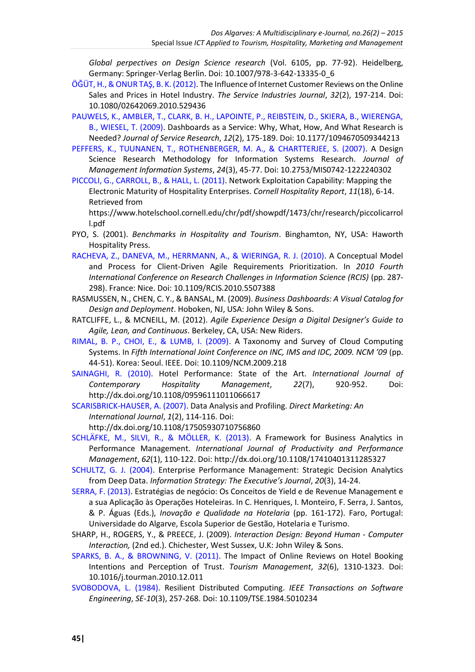*Global perpectives on Design Science research* (Vol. 6105, pp. 77-92). Heidelberg, Germany: Springer-Verlag Berlin. Doi: 10.1007/978-3-642-13335-0\_6

- [ÖĞÜT, H., & ONUR TAŞ, B. K. \(2012\)](http://www.tandfonline.com/doi/abs/10.1080/02642069.2010.529436). The Influence of Internet Customer Reviews on the Online Sales and Prices in Hotel Industry. *The Service Industries Journal*, *32*(2), 197-214. Doi: 10.1080/02642069.2010.529436
- [PAUWELS, K., AMBLER, T., CLARK, B. H., LAPOINTE, P., REIBSTEIN, D., SKIERA, B., WIERENGA,](http://jsr.sagepub.com/content/12/2/175)  [B., WIESEL, T. \(2009\).](http://jsr.sagepub.com/content/12/2/175) Dashboards as a Service: Why, What, How, And What Research is Needed? *Journal of Service Research*, *12*(2), 175-189. Doi: 10.1177/1094670509344213
- [PEFFERS, K., TUUNANEN, T., ROTHENBERGER, M. A., & CHARTTERJEE, S. \(2007\).](http://www.tandfonline.com/doi/abs/10.2753/MIS0742-1222240302) A Design Science Research Methodology for Information Systems Research. *Journal of Management Information Systems*, *24*(3), 45-77. Doi: 10.2753/MIS0742-1222240302
- [PICCOLI, G., CARROLL, B., & HALL, L. \(2011\).](http://scholarship.sha.cornell.edu/chrpubs/108/) Network Exploitation Capability: Mapping the Electronic Maturity of Hospitality Enterprises. *Cornell Hospitality Report*, *11*(18), 6-14. Retrieved from

https://www.hotelschool.cornell.edu/chr/pdf/showpdf/1473/chr/research/piccolicarrol l.pdf

- PYO, S. (2001). *Benchmarks in Hospitality and Tourism*. Binghamton, NY, USA: Haworth Hospitality Press.
- [RACHEVA, Z., DANEVA, M., HERRMANN, A., & WIERINGA, R. J. \(2010\).](http://ieeexplore.ieee.org/xpls/abs_all.jsp?arnumber=5507388&tag=1) A Conceptual Model and Process for Client-Driven Agile Requirements Prioritization. In *2010 Fourth International Conference on Research Challenges in Information Science (RCIS)* (pp. 287- 298). France: Nice. Doi: 10.1109/RCIS.2010.5507388
- RASMUSSEN, N., CHEN, C. Y., & BANSAL, M. (2009). *Business Dashboards: A Visual Catalog for Design and Deployment*. Hoboken, NJ, USA: John Wiley & Sons.
- RATCLIFFE, L., & MCNEILL, M. (2012). *Agile Experience Design a Digital Designer's Guide to Agile, Lean, and Continuous*. Berkeley, CA, USA: New Riders.
- [RIMAL, B. P., CHOI, E., & LUMB, I. \(2009\).](http://ieeexplore.ieee.org/xpls/abs_all.jsp?arnumber=5331755) A Taxonomy and Survey of Cloud Computing Systems. In *Fifth International Joint Conference on INC, IMS and IDC, 2009. NCM '09* (pp. 44-51). Korea: Seoul. IEEE. Doi: 10.1109/NCM.2009.218
- [SAINAGHI, R. \(2010\).](http://www.emeraldinsight.com/doi/abs/10.1108/09596111011066617) Hotel Performance: State of the Art. *International Journal of Contemporary Hospitality Management*, *22*(7), 920-952. Doi: http://dx.doi.org/10.1108/09596111011066617
- [SCARISBRICK-HAUSER, A. \(2007\).](http://www.emeraldinsight.com/doi/abs/10.1108/17505930710756860) Data Analysis and Profiling. *Direct Marketing: An International Journal*, *1*(2), 114-116. Doi:

http://dx.doi.org/10.1108/17505930710756860

- [SCHLÄFKE, M., SILVI, R., & MÖLLER, K. \(2013\).](http://www.emeraldinsight.com/doi/abs/10.1108/17410401311285327) A Framework for Business Analytics in Performance Management. *International Journal of Productivity and Performance Management*, *62*(1), 110-122. Doi: http://dx.doi.org/10.1108/17410401311285327
- [SCHULTZ, G. J.](http://www.econbiz.de/Record/enterprise-performance-management-strategic-decision-analytics-deep-data-single-data-based-enterprise-methodology-deliver-enterprise-performance/10008357218) (2004). Enterprise Performance Management: Strategic Decision Analytics from Deep Data. *Information Strategy: The Executive's Journal*, *20*(3), 14-24.
- [SERRA, F. \(2013\).](http://esghtconferences.org/tms2014/public/site/imgs/F.pdf) Estratégias de negócio: Os Conceitos de Yield e de Revenue Management e a sua Aplicação às Operações Hoteleiras. In C. Henriques, I. Monteiro, F. Serra, J. Santos, & P. Águas (Eds.), *Inovação e Qualidade na Hotelaria* (pp. 161-172). Faro, Portugal: Universidade do Algarve, Escola Superior de Gestão, Hotelaria e Turismo.
- SHARP, H., ROGERS, Y., & PREECE, J. (2009). *Interaction Design: Beyond Human - Computer Interaction,* (2nd ed.). Chichester, West Sussex, U.K: John Wiley & Sons.
- [SPARKS, B. A., & BROWNING, V. \(2011\).](http://www.sciencedirect.com/science/article/pii/S0261517711000033) The Impact of Online Reviews on Hotel Booking Intentions and Perception of Trust. *Tourism Management*, *32*(6), 1310-1323. Doi: 10.1016/j.tourman.2010.12.011
- [SVOBODOVA, L. \(1984\).](http://dl.acm.org/citation.cfm?id=547&picked=prox) Resilient Distributed Computing. *IEEE Transactions on Software Engineering*, *SE-10*(3), 257-268. Doi: 10.1109/TSE.1984.5010234